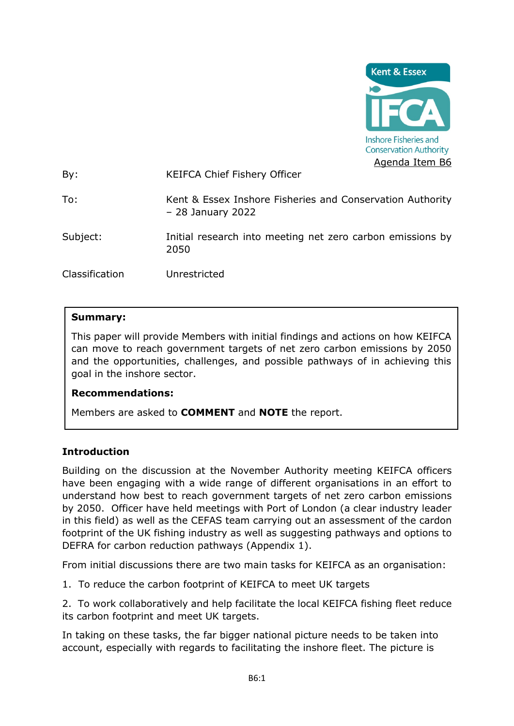

By: KEIFCA Chief Fishery Officer

- To: Kent & Essex Inshore Fisheries and Conservation Authority – 28 January 2022
- Subject: Initial research into meeting net zero carbon emissions by 2050

Classification Unrestricted

#### **Summary:**

This paper will provide Members with initial findings and actions on how KEIFCA can move to reach government targets of net zero carbon emissions by 2050 and the opportunities, challenges, and possible pathways of in achieving this goal in the inshore sector.

#### **Recommendations:**

Members are asked to **COMMENT** and **NOTE** the report.

#### **Introduction**

Building on the discussion at the November Authority meeting KEIFCA officers have been engaging with a wide range of different organisations in an effort to understand how best to reach government targets of net zero carbon emissions by 2050. Officer have held meetings with Port of London (a clear industry leader in this field) as well as the CEFAS team carrying out an assessment of the cardon footprint of the UK fishing industry as well as suggesting pathways and options to DEFRA for carbon reduction pathways (Appendix 1).

From initial discussions there are two main tasks for KEIFCA as an organisation:

1. To reduce the carbon footprint of KEIFCA to meet UK targets

2. To work collaboratively and help facilitate the local KEIFCA fishing fleet reduce its carbon footprint and meet UK targets.

In taking on these tasks, the far bigger national picture needs to be taken into account, especially with regards to facilitating the inshore fleet. The picture is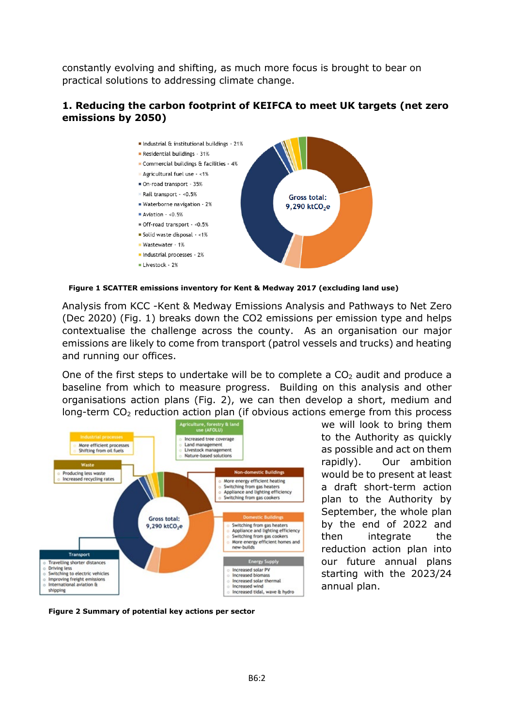constantly evolving and shifting, as much more focus is brought to bear on practical solutions to addressing climate change.

#### **1. Reducing the carbon footprint of KEIFCA to meet UK targets (net zero emissions by 2050)**



**Figure 1 SCATTER emissions inventory for Kent & Medway 2017 (excluding land use)**

Analysis from KCC -Kent & Medway Emissions Analysis and Pathways to Net Zero (Dec 2020) (Fig. 1) breaks down the CO2 emissions per emission type and helps contextualise the challenge across the county. As an organisation our major emissions are likely to come from transport (patrol vessels and trucks) and heating and running our offices.

One of the first steps to undertake will be to complete a  $CO<sub>2</sub>$  audit and produce a baseline from which to measure progress. Building on this analysis and other organisations action plans (Fig. 2), we can then develop a short, medium and long-term  $CO<sub>2</sub>$  reduction action plan (if obvious actions emerge from this process



we will look to bring them to the Authority as quickly as possible and act on them rapidly). Our ambition would be to present at least a draft short-term action plan to the Authority by September, the whole plan by the end of 2022 and then integrate the reduction action plan into our future annual plans starting with the 2023/24 annual plan.

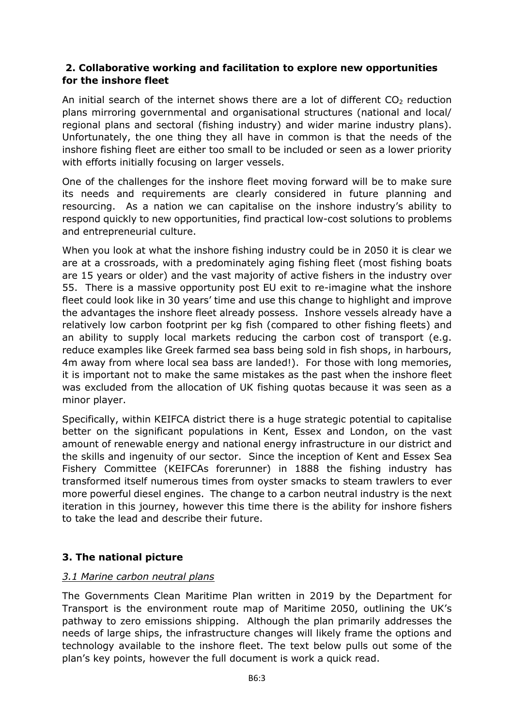### **2. Collaborative working and facilitation to explore new opportunities for the inshore fleet**

An initial search of the internet shows there are a lot of different  $CO<sub>2</sub>$  reduction plans mirroring governmental and organisational structures (national and local/ regional plans and sectoral (fishing industry) and wider marine industry plans). Unfortunately, the one thing they all have in common is that the needs of the inshore fishing fleet are either too small to be included or seen as a lower priority with efforts initially focusing on larger vessels.

One of the challenges for the inshore fleet moving forward will be to make sure its needs and requirements are clearly considered in future planning and resourcing. As a nation we can capitalise on the inshore industry's ability to respond quickly to new opportunities, find practical low-cost solutions to problems and entrepreneurial culture.

When you look at what the inshore fishing industry could be in 2050 it is clear we are at a crossroads, with a predominately aging fishing fleet (most fishing boats are 15 years or older) and the vast majority of active fishers in the industry over 55. There is a massive opportunity post EU exit to re-imagine what the inshore fleet could look like in 30 years' time and use this change to highlight and improve the advantages the inshore fleet already possess. Inshore vessels already have a relatively low carbon footprint per kg fish (compared to other fishing fleets) and an ability to supply local markets reducing the carbon cost of transport (e.g. reduce examples like Greek farmed sea bass being sold in fish shops, in harbours, 4m away from where local sea bass are landed!). For those with long memories, it is important not to make the same mistakes as the past when the inshore fleet was excluded from the allocation of UK fishing quotas because it was seen as a minor player.

Specifically, within KEIFCA district there is a huge strategic potential to capitalise better on the significant populations in Kent, Essex and London, on the vast amount of renewable energy and national energy infrastructure in our district and the skills and ingenuity of our sector. Since the inception of Kent and Essex Sea Fishery Committee (KEIFCAs forerunner) in 1888 the fishing industry has transformed itself numerous times from oyster smacks to steam trawlers to ever more powerful diesel engines. The change to a carbon neutral industry is the next iteration in this journey, however this time there is the ability for inshore fishers to take the lead and describe their future.

## **3. The national picture**

#### *3.1 Marine carbon neutral plans*

The Governments Clean Maritime Plan written in 2019 by the Department for Transport is the environment route map of Maritime 2050, outlining the UK's pathway to zero emissions shipping. Although the plan primarily addresses the needs of large ships, the infrastructure changes will likely frame the options and technology available to the inshore fleet. The text below pulls out some of the plan's key points, however the full document is work a quick read.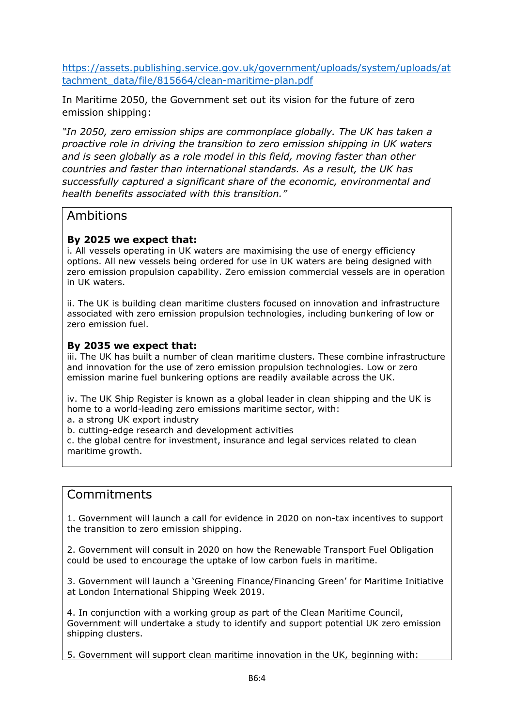[https://assets.publishing.service.gov.uk/government/uploads/system/uploads/at](https://assets.publishing.service.gov.uk/government/uploads/system/uploads/attachment_data/file/815664/clean-maritime-plan.pdf) [tachment\\_data/file/815664/clean-maritime-plan.pdf](https://assets.publishing.service.gov.uk/government/uploads/system/uploads/attachment_data/file/815664/clean-maritime-plan.pdf)

In Maritime 2050, the Government set out its vision for the future of zero emission shipping:

*"In 2050, zero emission ships are commonplace globally. The UK has taken a proactive role in driving the transition to zero emission shipping in UK waters and is seen globally as a role model in this field, moving faster than other countries and faster than international standards. As a result, the UK has successfully captured a significant share of the economic, environmental and health benefits associated with this transition."*

## Ambitions

### **By 2025 we expect that:**

i. All vessels operating in UK waters are maximising the use of energy efficiency options. All new vessels being ordered for use in UK waters are being designed with zero emission propulsion capability. Zero emission commercial vessels are in operation in UK waters.

ii. The UK is building clean maritime clusters focused on innovation and infrastructure associated with zero emission propulsion technologies, including bunkering of low or zero emission fuel.

#### **By 2035 we expect that:**

iii. The UK has built a number of clean maritime clusters. These combine infrastructure and innovation for the use of zero emission propulsion technologies. Low or zero emission marine fuel bunkering options are readily available across the UK.

iv. The UK Ship Register is known as a global leader in clean shipping and the UK is home to a world-leading zero emissions maritime sector, with:

a. a strong UK export industry

b. cutting-edge research and development activities

c. the global centre for investment, insurance and legal services related to clean maritime growth.

# Commitments

1. Government will launch a call for evidence in 2020 on non-tax incentives to support the transition to zero emission shipping.

2. Government will consult in 2020 on how the Renewable Transport Fuel Obligation could be used to encourage the uptake of low carbon fuels in maritime.

3. Government will launch a 'Greening Finance/Financing Green' for Maritime Initiative at London International Shipping Week 2019.

4. In conjunction with a working group as part of the Clean Maritime Council, Government will undertake a study to identify and support potential UK zero emission shipping clusters.

5. Government will support clean maritime innovation in the UK, beginning with: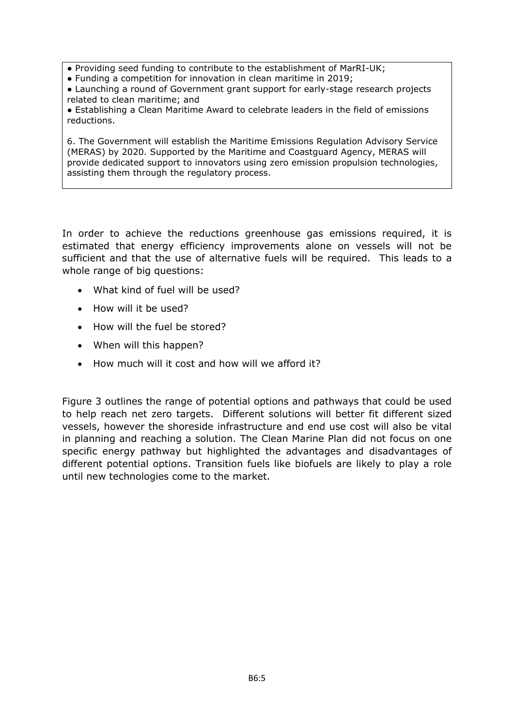- Providing seed funding to contribute to the establishment of MarRI-UK;
- Funding a competition for innovation in clean maritime in 2019;
- Launching a round of Government grant support for early-stage research projects related to clean maritime; and
- Establishing a Clean Maritime Award to celebrate leaders in the field of emissions reductions.

6. The Government will establish the Maritime Emissions Regulation Advisory Service (MERAS) by 2020. Supported by the Maritime and Coastguard Agency, MERAS will provide dedicated support to innovators using zero emission propulsion technologies, assisting them through the regulatory process.

In order to achieve the reductions greenhouse gas emissions required, it is estimated that energy efficiency improvements alone on vessels will not be sufficient and that the use of alternative fuels will be required. This leads to a whole range of big questions:

- What kind of fuel will be used?
- How will it be used?
- How will the fuel be stored?
- When will this happen?
- How much will it cost and how will we afford it?

Figure 3 outlines the range of potential options and pathways that could be used to help reach net zero targets. Different solutions will better fit different sized vessels, however the shoreside infrastructure and end use cost will also be vital in planning and reaching a solution. The Clean Marine Plan did not focus on one specific energy pathway but highlighted the advantages and disadvantages of different potential options. Transition fuels like biofuels are likely to play a role until new technologies come to the market.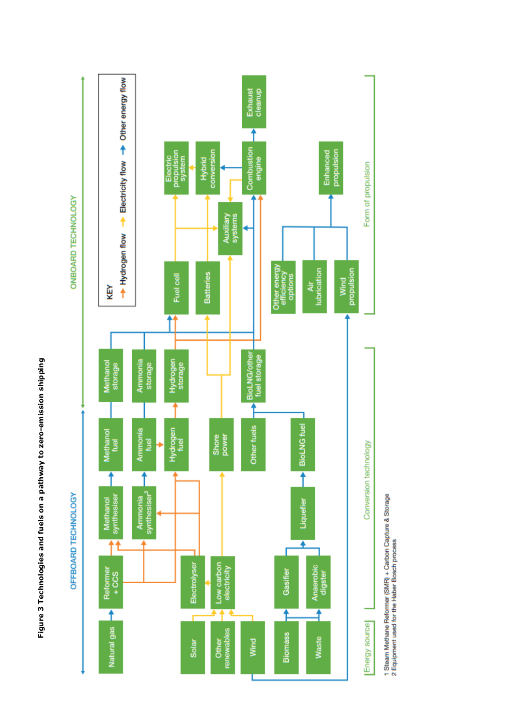

1 Steam Methane Reformer (SMR) + Carbon Capture & Storage<br>2 Equipment used for the Haber Bosch process

Figure 3 Technologies and fuels on a pathway to zero-emission shipping **Figure 3 Technologies and fuels on a pathway to zero-emission shipping**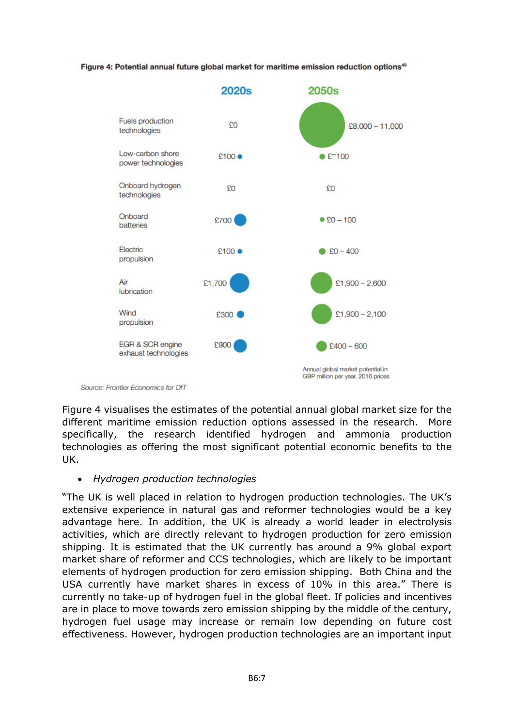#### Figure 4: Potential annual future global market for maritime emission reduction options<sup>49</sup>



Source: Frontier Economics for DfT

Figure 4 visualises the estimates of the potential annual global market size for the different maritime emission reduction options assessed in the research. More specifically, the research identified hydrogen and ammonia production technologies as offering the most significant potential economic benefits to the UK.

#### • *Hydrogen production technologies*

"The UK is well placed in relation to hydrogen production technologies. The UK's extensive experience in natural gas and reformer technologies would be a key advantage here. In addition, the UK is already a world leader in electrolysis activities, which are directly relevant to hydrogen production for zero emission shipping. It is estimated that the UK currently has around a 9% global export market share of reformer and CCS technologies, which are likely to be important elements of hydrogen production for zero emission shipping. Both China and the USA currently have market shares in excess of 10% in this area." There is currently no take-up of hydrogen fuel in the global fleet. If policies and incentives are in place to move towards zero emission shipping by the middle of the century, hydrogen fuel usage may increase or remain low depending on future cost effectiveness. However, hydrogen production technologies are an important input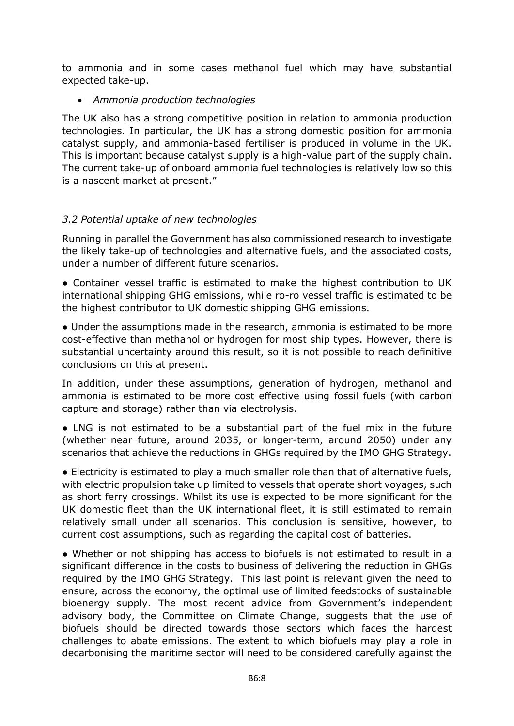to ammonia and in some cases methanol fuel which may have substantial expected take-up.

• *Ammonia production technologies*

The UK also has a strong competitive position in relation to ammonia production technologies. In particular, the UK has a strong domestic position for ammonia catalyst supply, and ammonia-based fertiliser is produced in volume in the UK. This is important because catalyst supply is a high-value part of the supply chain. The current take-up of onboard ammonia fuel technologies is relatively low so this is a nascent market at present."

## *3.2 Potential uptake of new technologies*

Running in parallel the Government has also commissioned research to investigate the likely take-up of technologies and alternative fuels, and the associated costs, under a number of different future scenarios.

● Container vessel traffic is estimated to make the highest contribution to UK international shipping GHG emissions, while ro-ro vessel traffic is estimated to be the highest contributor to UK domestic shipping GHG emissions.

● Under the assumptions made in the research, ammonia is estimated to be more cost-effective than methanol or hydrogen for most ship types. However, there is substantial uncertainty around this result, so it is not possible to reach definitive conclusions on this at present.

In addition, under these assumptions, generation of hydrogen, methanol and ammonia is estimated to be more cost effective using fossil fuels (with carbon capture and storage) rather than via electrolysis.

• LNG is not estimated to be a substantial part of the fuel mix in the future (whether near future, around 2035, or longer-term, around 2050) under any scenarios that achieve the reductions in GHGs required by the IMO GHG Strategy.

● Electricity is estimated to play a much smaller role than that of alternative fuels, with electric propulsion take up limited to vessels that operate short voyages, such as short ferry crossings. Whilst its use is expected to be more significant for the UK domestic fleet than the UK international fleet, it is still estimated to remain relatively small under all scenarios. This conclusion is sensitive, however, to current cost assumptions, such as regarding the capital cost of batteries.

● Whether or not shipping has access to biofuels is not estimated to result in a significant difference in the costs to business of delivering the reduction in GHGs required by the IMO GHG Strategy. This last point is relevant given the need to ensure, across the economy, the optimal use of limited feedstocks of sustainable bioenergy supply. The most recent advice from Government's independent advisory body, the Committee on Climate Change, suggests that the use of biofuels should be directed towards those sectors which faces the hardest challenges to abate emissions. The extent to which biofuels may play a role in decarbonising the maritime sector will need to be considered carefully against the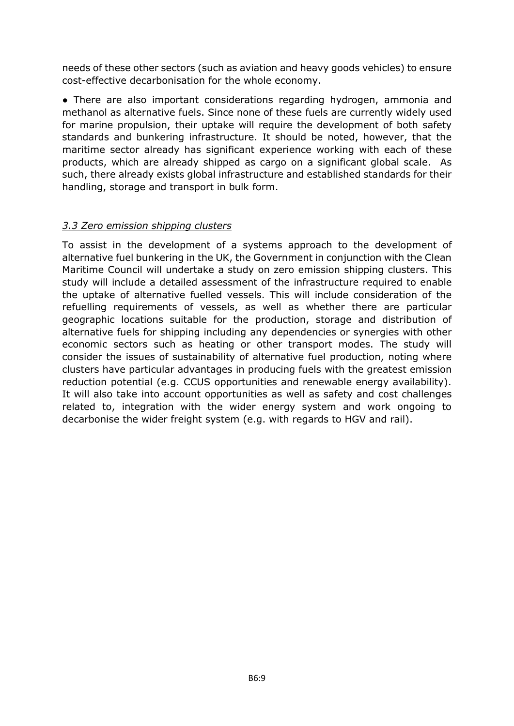needs of these other sectors (such as aviation and heavy goods vehicles) to ensure cost-effective decarbonisation for the whole economy.

• There are also important considerations regarding hydrogen, ammonia and methanol as alternative fuels. Since none of these fuels are currently widely used for marine propulsion, their uptake will require the development of both safety standards and bunkering infrastructure. It should be noted, however, that the maritime sector already has significant experience working with each of these products, which are already shipped as cargo on a significant global scale. As such, there already exists global infrastructure and established standards for their handling, storage and transport in bulk form.

## *3.3 Zero emission shipping clusters*

To assist in the development of a systems approach to the development of alternative fuel bunkering in the UK, the Government in conjunction with the Clean Maritime Council will undertake a study on zero emission shipping clusters. This study will include a detailed assessment of the infrastructure required to enable the uptake of alternative fuelled vessels. This will include consideration of the refuelling requirements of vessels, as well as whether there are particular geographic locations suitable for the production, storage and distribution of alternative fuels for shipping including any dependencies or synergies with other economic sectors such as heating or other transport modes. The study will consider the issues of sustainability of alternative fuel production, noting where clusters have particular advantages in producing fuels with the greatest emission reduction potential (e.g. CCUS opportunities and renewable energy availability). It will also take into account opportunities as well as safety and cost challenges related to, integration with the wider energy system and work ongoing to decarbonise the wider freight system (e.g. with regards to HGV and rail).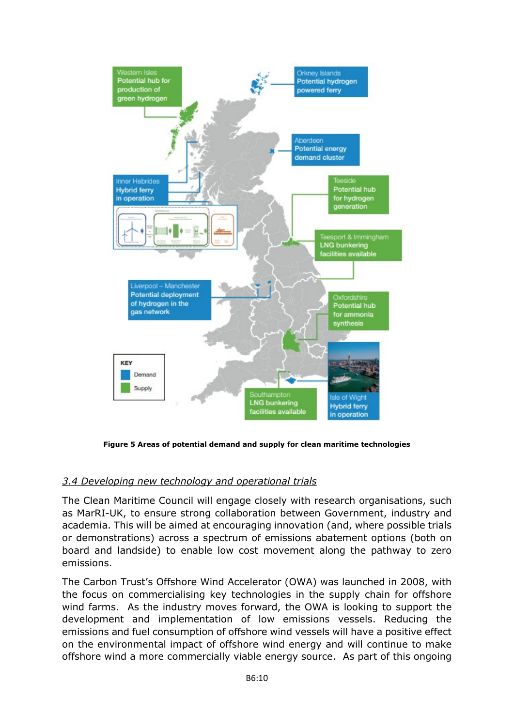

**Figure 5 Areas of potential demand and supply for clean maritime technologies**

## *3.4 Developing new technology and operational trials*

The Clean Maritime Council will engage closely with research organisations, such as MarRI-UK, to ensure strong collaboration between Government, industry and academia. This will be aimed at encouraging innovation (and, where possible trials or demonstrations) across a spectrum of emissions abatement options (both on board and landside) to enable low cost movement along the pathway to zero emissions.

The Carbon Trust's Offshore Wind Accelerator (OWA) was launched in 2008, with the focus on commercialising key technologies in the supply chain for offshore wind farms. As the industry moves forward, the OWA is looking to support the development and implementation of low emissions vessels. Reducing the emissions and fuel consumption of offshore wind vessels will have a positive effect on the environmental impact of offshore wind energy and will continue to make offshore wind a more commercially viable energy source. As part of this ongoing